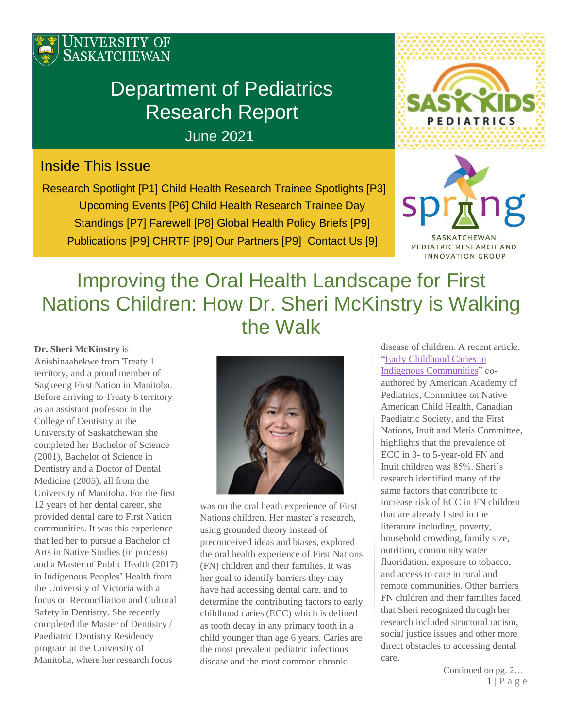

# Department of Pediatrics Research Report

June 2021

# Inside This Issue

Research Spotlight [P1] Child Health Research Trainee Spotlights [P3] Upcoming Events [P6] Child Health Research Trainee Day Standings [P7] Farewell [P8] Global Health Policy Briefs [P9] Publications [P9] CHRTF [P9] Our Partners [P9] Contact Us [9]



mng **SC** 

SASKATCHEWAN PEDIATRIC RESEARCH AND INNOVATION GROUP

# Improving the Oral Health Landscape for First Nations Children: How Dr. Sheri McKinstry is Walking the Walk

**Dr. Sheri McKinstry** is Anishinaabekwe from Treaty 1 territory, and a proud member of Sagkeeng First Nation in Manitoba. Before arriving to Treaty 6 territory as an assistant professor in the College of Dentistry at the University of Saskatchewan she completed her Bachelor of Science (2001), Bachelor of Science in Dentistry and a Doctor of Dental Medicine (2005), all from the University of Manitoba. For the first 12 years of her dental career, she provided dental care to First Nation communities. It was this experience that led her to pursue a Bachelor of Arts in Native Studies (in process) and a Master of Public Health (2017) in Indigenous Peoples' Health from the University of Victoria with a focus on Reconciliation and Cultural Safety in Dentistry. She recently completed the Master of Dentistry / Paediatric Dentistry Residency program at the University of Manitoba, where her research focus



was on the oral heath experience of First Nations children. Her master's research, using grounded theory instead of preconceived ideas and biases, explored the oral health experience of First Nations (FN) children and their families. It was her goal to identify barriers they may have had accessing dental care, and to determine the contributing factors to early childhood caries (ECC) which is defined as tooth decay in any primary tooth in a child younger than age 6 years. Caries are the most prevalent pediatric infectious disease and the most common chronic

disease of children. A recent article, ["Early Childhood Caries in](https://pediatrics.aappublications.org/content/127/6/1190)  [Indigenous Communities"](https://pediatrics.aappublications.org/content/127/6/1190) coauthored by American Academy of Pediatrics, Committee on Native American Child Health, Canadian Paediatric Society, and the First Nations, Inuit and Métis Committee, highlights that the prevalence of ECC in 3- to 5-year-old FN and Inuit children was 85%. Sheri's research identified many of the same factors that contribute to increase risk of ECC in FN children that are already listed in the literature including, poverty, household crowding, family size, nutrition, community water fluoridation, exposure to tobacco, and access to care in rural and remote communities. Other barriers FN children and their families faced that Sheri recognized through her research included structural racism, social justice issues and other more direct obstacles to accessing dental care.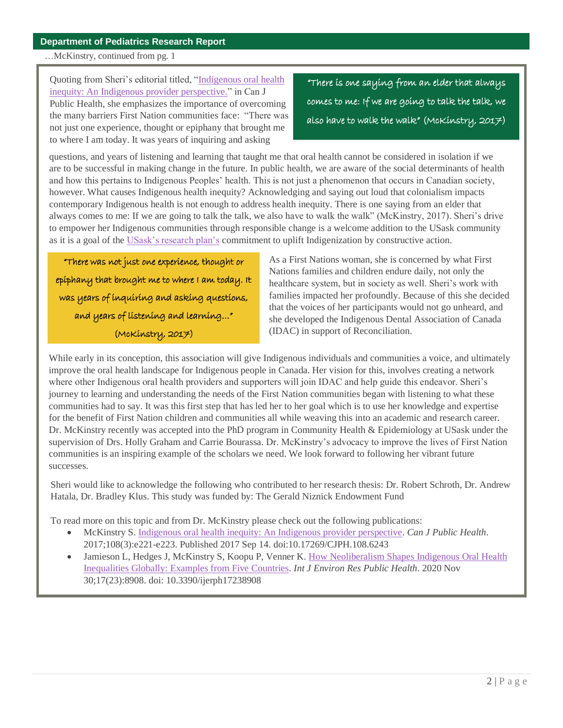#### …McKinstry, continued from pg. 1

Quoting from Sheri's editorial titled, ["Indigenous oral health](https://link.springer.com/article/10.17269/CJPH.108.6243)  [inequity: An Indigenous provider perspective."](https://link.springer.com/article/10.17269/CJPH.108.6243) in Can J Public Health, she emphasizes the importance of overcoming the many barriers First Nation communities face: "There was not just one experience, thought or epiphany that brought me to where I am today. It was years of inquiring and asking

"There is one saying from an elder that always comes to me: If we are going to talk the talk, we also have to walk the walk" (McKinstry, 2017)

questions, and years of listening and learning that taught me that oral health cannot be considered in isolation if we are to be successful in making change in the future. In public health, we are aware of the social determinants of health and how this pertains to Indigenous Peoples' health. This is not just a phenomenon that occurs in Canadian society, however. What causes Indigenous health inequity? Acknowledging and saying out loud that colonialism impacts contemporary Indigenous health is not enough to address health inequity. There is one saying from an elder that always comes to me: If we are going to talk the talk, we also have to walk the walk" (McKinstry, 2017). Sheri's drive to empower her Indigenous communities through responsible change is a welcome addition to the USask community as it is a goal of the [USask's research plan's](https://vpresearch.usask.ca/about-us/our-vision,-strategic-plans-and-initiatives1/research-plan-2018-2025.php#2UpliftIndigenization) commitment to uplift Indigenization by constructive action.

"There was not just one experience, thought or epiphany that brought me to where I am today. It was years of inquiring and asking questions, and years of listening and learning…" (McKinstry, 2017)

As a First Nations woman, she is concerned by what First Nations families and children endure daily, not only the healthcare system, but in society as well. Sheri's work with families impacted her profoundly. Because of this she decided that the voices of her participants would not go unheard, and she developed the Indigenous Dental Association of Canada (IDAC) in support of Reconciliation.

While early in its conception, this association will give Indigenous individuals and communities a voice, and ultimately improve the oral health landscape for Indigenous people in Canada. Her vision for this, involves creating a network where other Indigenous oral health providers and supporters will join IDAC and help guide this endeavor. Sheri's journey to learning and understanding the needs of the First Nation communities began with listening to what these communities had to say. It was this first step that has led her to her goal which is to use her knowledge and expertise for the benefit of First Nation children and communities all while weaving this into an academic and research career. Dr. McKinstry recently was accepted into the PhD program in Community Health & Epidemiology at USask under the supervision of Drs. Holly Graham and Carrie Bourassa. Dr. McKinstry's advocacy to improve the lives of First Nation communities is an inspiring example of the scholars we need. We look forward to following her vibrant future successes.

Sheri would like to acknowledge the following who contributed to her research thesis: Dr. Robert Schroth, Dr. Andrew Hatala, Dr. Bradley Klus. This study was funded by: The Gerald Niznick Endowment Fund

To read more on this topic and from Dr. McKinstry please check out the following publications:

- McKinstry S. [Indigenous oral health inequity: An Indigenous provider perspective.](https://pubmed.ncbi.nlm.nih.gov/28910241/) *Can J Public Health*. 2017;108(3):e221-e223. Published 2017 Sep 14. doi:10.17269/CJPH.108.6243
- Jamieson L, Hedges J, McKinstry S, Koopu P, Venner K. How Neoliberalism Shapes Indigenous Oral Health [Inequalities Globally: Examples from Five Countries.](https://pubmed.ncbi.nlm.nih.gov/33266134/) *Int J Environ Res Public Health*. 2020 Nov 30;17(23):8908. doi: 10.3390/ijerph17238908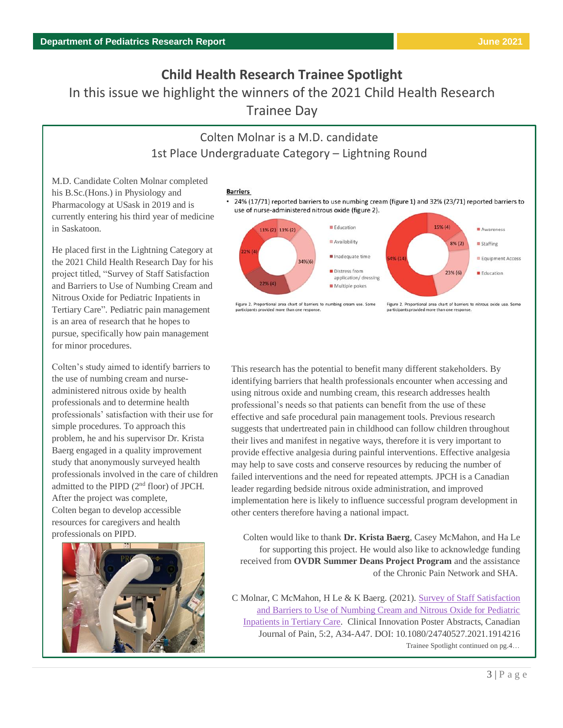# **Child Health Research Trainee Spotlight** In this issue we highlight the winners of the 2021 Child Health Research Trainee Day

# Colten Molnar is a M.D. candidate 1st Place Undergraduate Category – Lightning Round

M.D. Candidate Colten Molnar completed his B.Sc.(Hons.) in Physiology and Pharmacology at USask in 2019 and is currently entering his third year of medicine in Saskatoon.

He placed first in the Lightning Category at the 2021 Child Health Research Day for his project titled, "Survey of Staff Satisfaction and Barriers to Use of Numbing Cream and Nitrous Oxide for Pediatric Inpatients in Tertiary Care". Pediatric pain management is an area of research that he hopes to pursue, specifically how pain management for minor procedures.

Colten's study aimed to identify barriers to the use of numbing cream and nurseadministered nitrous oxide by health professionals and to determine health professionals' satisfaction with their use for simple procedures. To approach this problem, he and his supervisor Dr. Krista Baerg engaged in a quality improvement study that anonymously surveyed health professionals involved in the care of children admitted to the PIPD (2nd floor) of JPCH. After the project was complete, Colten began to develop accessible resources for caregivers and health professionals on PIPD.





#### • 24% (17/71) reported barriers to use numbing cream (figure 1) and 32% (23/71) reported barriers to use of nurse-administered nitrous oxide (figure 2).



Figure 2. Proportional area chart of barriers to numbing cream use. Some participants provided more than one response

Figure 2. Proportional area chart of barriers to nitrous oxide use. Some participants provided more than one response

This research has the potential to benefit many different stakeholders. By identifying barriers that health professionals encounter when accessing and using nitrous oxide and numbing cream, this research addresses health professional's needs so that patients can benefit from the use of these effective and safe procedural pain management tools. Previous research suggests that undertreated pain in childhood can follow children throughout their lives and manifest in negative ways, therefore it is very important to provide effective analgesia during painful interventions. Effective analgesia may help to save costs and conserve resources by reducing the number of failed interventions and the need for repeated attempts. JPCH is a Canadian leader regarding bedside nitrous oxide administration, and improved implementation here is likely to influence successful program development in other centers therefore having a national impact.

Colten would like to thank **Dr. Krista Baerg**, Casey McMahon, and Ha Le for supporting this project. He would also like to acknowledge funding received from **OVDR Summer Deans Project Program** and the assistance of the Chronic Pain Network and SHA.

C Molnar, C McMahon, H Le & K Baerg. (2021)[. Survey of Staff Satisfaction](https://doi.org/10.1080/24740527.2021.1914216)  [and Barriers to Use of Numbing Cream and Nitrous Oxide for Pediatric](https://doi.org/10.1080/24740527.2021.1914216)  [Inpatients in Tertiary Care.](https://doi.org/10.1080/24740527.2021.1914216) Clinical Innovation Poster Abstracts, Canadian Journal of Pain, 5:2, A34-A47. DOI: 10.1080/24740527.2021.1914216 Trainee Spotlight continued on pg.4…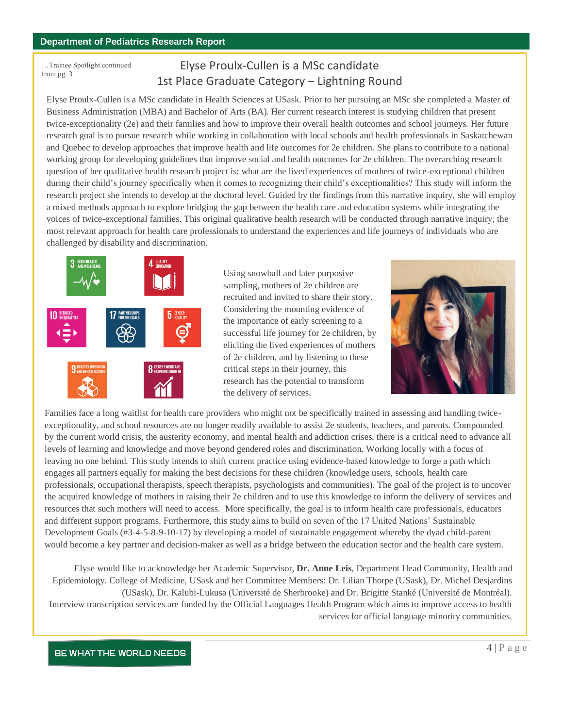…Trainee Spotlight continued from pg. 3

# Elyse Proulx-Cullen is a MSc candidate 1st Place Graduate Category – Lightning Round

Elyse Proulx-Cullen is a MSc candidate in Health Sciences at USask. Prior to her pursuing an MSc she completed a Master of Business Administration (MBA) and Bachelor of Arts (BA). Her current research interest is studying children that present twice-exceptionality (2e) and their families and how to improve their overall health outcomes and school journeys. Her future research goal is to pursue research while working in collaboration with local schools and health professionals in Saskatchewan and Quebec to develop approaches that improve health and life outcomes for 2e children. She plans to contribute to a national working group for developing guidelines that improve social and health outcomes for 2e children. The overarching research question of her qualitative health research project is: what are the lived experiences of mothers of twice-exceptional children during their child's journey specifically when it comes to recognizing their child's exceptionalities? This study will inform the research project she intends to develop at the doctoral level. Guided by the findings from this narrative inquiry, she will employ a mixed methods approach to explore bridging the gap between the health care and education systems while integrating the voices of twice-exceptional families. This original qualitative health research will be conducted through narrative inquiry, the most relevant approach for health care professionals to understand the experiences and life journeys of individuals who are challenged by disability and discrimination.



Using snowball and later purposive sampling, mothers of 2e children are recruited and invited to share their story. Considering the mounting evidence of the importance of early screening to a successful life journey for 2e children, by eliciting the lived experiences of mothers of 2e children, and by listening to these critical steps in their journey, this research has the potential to transform the delivery of services.



Families face a long waitlist for health care providers who might not be specifically trained in assessing and handling twiceexceptionality, and school resources are no longer readily available to assist 2e students, teachers, and parents. Compounded by the current world crisis, the austerity economy, and mental health and addiction crises, there is a critical need to advance all levels of learning and knowledge and move beyond gendered roles and discrimination. Working locally with a focus of leaving no one behind. This study intends to shift current practice using evidence-based knowledge to forge a path which engages all partners equally for making the best decisions for these children (knowledge users, schools, health care professionals, occupational therapists, speech therapists, psychologists and communities). The goal of the project is to uncover the acquired knowledge of mothers in raising their 2e children and to use this knowledge to inform the delivery of services and resources that such mothers will need to access. More specifically, the goal is to inform health care professionals, educators and different support programs. Furthermore, this study aims to build on seven of the 17 United Nations' Sustainable Development Goals (#3-4-5-8-9-10-17) by developing a model of sustainable engagement whereby the dyad child-parent would become a key partner and decision-maker as well as a bridge between the education sector and the health care system.

Elyse would like to acknowledge her Academic Supervisor, **Dr. Anne Leis**, Department Head Community, Health and Epidemiology. College of Medicine, USask and her Committee Members: Dr. Lilian Thorpe (USask), Dr. Michel Desjardins (USask), Dr. Kalubi-Lukusa (Université de Sherbrooke) and Dr. Brigitte Stanké (Université de Montréal). Interview transcription services are funded by the Official Languages Health Program which aims to improve access to health services for official language minority communities.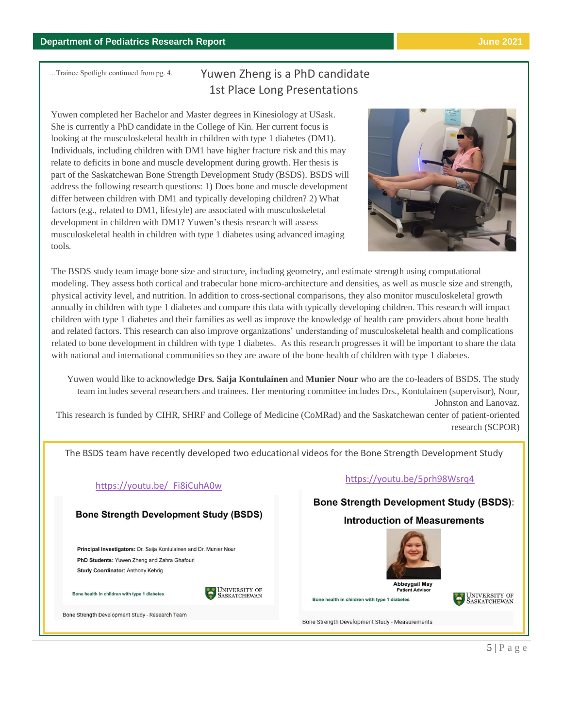…Trainee Spotlight continued from pg. 4.

# Yuwen Zheng is a PhD candidate 1st Place Long Presentations

Yuwen completed her Bachelor and Master degrees in Kinesiology at USask. She is currently a PhD candidate in the College of Kin. Her current focus is looking at the musculoskeletal health in children with type 1 diabetes (DM1). Individuals, including children with DM1 have higher fracture risk and this may relate to deficits in bone and muscle development during growth. Her thesis is part of the Saskatchewan Bone Strength Development Study (BSDS). BSDS will address the following research questions: 1) Does bone and muscle development differ between children with DM1 and typically developing children? 2) What factors (e.g., related to DM1, lifestyle) are associated with musculoskeletal development in children with DM1? Yuwen's thesis research will assess musculoskeletal health in children with type 1 diabetes using advanced imaging tools.



The BSDS study team image bone size and structure, including geometry, and estimate strength using computational modeling. They assess both cortical and trabecular bone micro-architecture and densities, as well as muscle size and strength, physical activity level, and nutrition. In addition to cross-sectional comparisons, they also monitor musculoskeletal growth annually in children with type 1 diabetes and compare this data with typically developing children. This research will impact children with type 1 diabetes and their families as well as improve the knowledge of health care providers about bone health and related factors. This research can also improve organizations' understanding of musculoskeletal health and complications related to bone development in children with type 1 diabetes. As this research progresses it will be important to share the data with national and international communities so they are aware of the bone health of children with type 1 diabetes.

Yuwen would like to acknowledge **Drs. Saija Kontulainen** and **Munier Nour** who are the co-leaders of BSDS. The study team includes several researchers and trainees. Her mentoring committee includes Drs., Kontulainen (supervisor), Nour, Johnston and Lanovaz. This research is funded by CIHR, SHRF and College of Medicine (CoMRad) and the Saskatchewan center of patient-oriented

The BSDS team have recently developed two educational videos for the Bone Strength Development Study

### **Bone Strength Development Study (BSDS)**

Principal Investigators: Dr. Saija Kontulainen and Dr. Munier Nour PhD Students: Yuwen Zheng and Zahra Ghafouri Study Coordinator: Anthony Kehrig

Bone health in children with type 1 diabetes



Bone Strength Development Study - Research Team

# https://youtu.be/ Fi8iCuhA0w <https://youtu.be/5prh98Wsrq4>

## **Bone Strength Development Study (BSDS):**

#### **Introduction of Measurements**



research (SCPOR)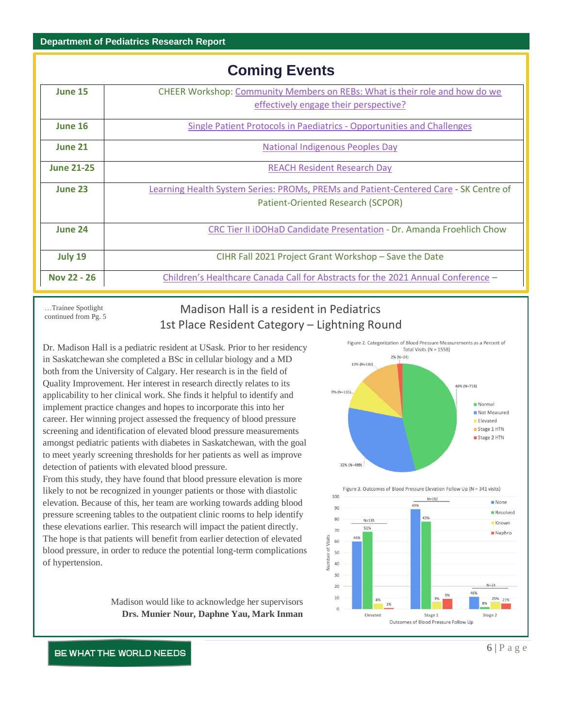#### **Department of Pediatrics Research Report**

|                   | <b>Coming Events</b>                                                                 |  |  |  |
|-------------------|--------------------------------------------------------------------------------------|--|--|--|
| <b>June 15</b>    | CHEER Workshop: Community Members on REBs: What is their role and how do we          |  |  |  |
|                   | effectively engage their perspective?                                                |  |  |  |
| June 16           | Single Patient Protocols in Paediatrics - Opportunities and Challenges               |  |  |  |
| <b>June 21</b>    | National Indigenous Peoples Day                                                      |  |  |  |
| <b>June 21-25</b> | <b>REACH Resident Research Day</b>                                                   |  |  |  |
| June 23           | Learning Health System Series: PROMs, PREMs and Patient-Centered Care - SK Centre of |  |  |  |
|                   | Patient-Oriented Research (SCPOR)                                                    |  |  |  |
| June 24           | CRC Tier II iDOHaD Candidate Presentation - Dr. Amanda Froehlich Chow                |  |  |  |
| July 19           | CIHR Fall 2021 Project Grant Workshop - Save the Date                                |  |  |  |
| Nov 22 - 26       | Children's Healthcare Canada Call for Abstracts for the 2021 Annual Conference -     |  |  |  |
|                   |                                                                                      |  |  |  |

…Trainee Spotlight continued from Pg. 5

# Madison Hall is a resident in Pediatrics 1st Place Resident Category – Lightning Round

Dr. Madison Hall is a pediatric resident at USask. Prior to her residency in Saskatchewan she completed a BSc in cellular biology and a MD both from the University of Calgary. Her research is in the field of Quality Improvement. Her interest in research directly relates to its applicability to her clinical work. She finds it helpful to identify and implement practice changes and hopes to incorporate this into her career. Her winning project assessed the frequency of blood pressure screening and identification of elevated blood pressure measurements amongst pediatric patients with diabetes in Saskatchewan, with the goal to meet yearly screening thresholds for her patients as well as improve detection of patients with elevated blood pressure.

From this study, they have found that blood pressure elevation is more likely to not be recognized in younger patients or those with diastolic elevation. Because of this, her team are working towards adding blood pressure screening tables to the outpatient clinic rooms to help identify these elevations earlier. This research will impact the patient directly. The hope is that patients will benefit from earlier detection of elevated blood pressure, in order to reduce the potential long-term complications of hypertension.

Figure 2. Categorization of Blood Pressure Measurements as a Percent of Total Visits  $(N = 1558)$  $2\%$  (N=24) 12% (N=182) 46% (N=718) 9% (N=135) Normal Not Measured **Elevated** Stage 1 HTN Stage 2 HTN  $32% (N=499)$ Figure 3. Outcomes of Blood Pressure Elevation Follow Up (N = 341 visits)



Madison would like to acknowledge her supervisors **Drs. Munier Nour, Daphne Yau, Mark Inman**

#### BE WHAT THE WORLD NEEDS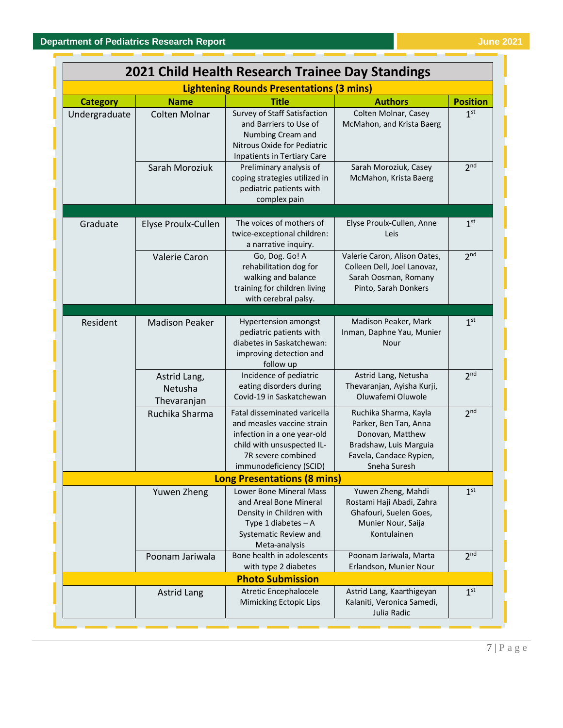| 2021 Child Health Research Trainee Day Standings<br><b>Lightening Rounds Presentations (3 mins)</b> |                                        |                                                                                                                                                                          |                                                                                                                                         |                 |  |
|-----------------------------------------------------------------------------------------------------|----------------------------------------|--------------------------------------------------------------------------------------------------------------------------------------------------------------------------|-----------------------------------------------------------------------------------------------------------------------------------------|-----------------|--|
|                                                                                                     |                                        |                                                                                                                                                                          |                                                                                                                                         |                 |  |
| Undergraduate                                                                                       | Colten Molnar                          | Survey of Staff Satisfaction<br>and Barriers to Use of<br>Numbing Cream and<br>Nitrous Oxide for Pediatric<br>Inpatients in Tertiary Care                                | Colten Molnar, Casey<br>McMahon, and Krista Baerg                                                                                       | 1 <sup>st</sup> |  |
|                                                                                                     | Sarah Moroziuk                         | Preliminary analysis of<br>coping strategies utilized in<br>pediatric patients with<br>complex pain                                                                      | Sarah Moroziuk, Casey<br>McMahon, Krista Baerg                                                                                          | 2 <sup>nd</sup> |  |
|                                                                                                     |                                        | The voices of mothers of                                                                                                                                                 |                                                                                                                                         |                 |  |
| Graduate                                                                                            | Elyse Proulx-Cullen                    | twice-exceptional children:<br>a narrative inquiry.                                                                                                                      | Elyse Proulx-Cullen, Anne<br>Leis                                                                                                       | 1 <sup>st</sup> |  |
|                                                                                                     | <b>Valerie Caron</b>                   | Go, Dog. Go! A<br>rehabilitation dog for<br>walking and balance<br>training for children living<br>with cerebral palsy.                                                  | Valerie Caron, Alison Oates,<br>Colleen Dell, Joel Lanovaz,<br>Sarah Oosman, Romany<br>Pinto, Sarah Donkers                             | 2 <sub>nd</sub> |  |
|                                                                                                     |                                        |                                                                                                                                                                          |                                                                                                                                         |                 |  |
| Resident                                                                                            | <b>Madison Peaker</b>                  | <b>Hypertension amongst</b><br>pediatric patients with<br>diabetes in Saskatchewan:<br>improving detection and<br>follow up                                              | Madison Peaker, Mark<br>Inman, Daphne Yau, Munier<br>Nour                                                                               | 1 <sup>st</sup> |  |
|                                                                                                     | Astrid Lang,<br>Netusha<br>Thevaranjan | Incidence of pediatric<br>eating disorders during<br>Covid-19 in Saskatchewan                                                                                            | Astrid Lang, Netusha<br>Thevaranjan, Ayisha Kurji,<br>Oluwafemi Oluwole                                                                 | 2 <sup>nd</sup> |  |
|                                                                                                     | Ruchika Sharma                         | Fatal disseminated varicella<br>and measles vaccine strain<br>infection in a one year-old<br>child with unsuspected IL-<br>7R severe combined<br>immunodeficiency (SCID) | Ruchika Sharma, Kayla<br>Parker, Ben Tan, Anna<br>Donovan, Matthew<br>Bradshaw, Luis Marguia<br>Favela, Candace Rypien,<br>Sneha Suresh | 2 <sup>nd</sup> |  |
|                                                                                                     |                                        | <b>Long Presentations (8 mins)</b>                                                                                                                                       |                                                                                                                                         |                 |  |
|                                                                                                     | Yuwen Zheng                            | Lower Bone Mineral Mass<br>and Areal Bone Mineral<br>Density in Children with<br>Type 1 diabetes - A<br>Systematic Review and                                            | Yuwen Zheng, Mahdi<br>Rostami Haji Abadi, Zahra<br>Ghafouri, Suelen Goes,<br>Munier Nour, Saija<br>Kontulainen                          | 1 <sup>st</sup> |  |
|                                                                                                     | Poonam Jariwala                        | Meta-analysis<br>Bone health in adolescents<br>with type 2 diabetes                                                                                                      | Poonam Jariwala, Marta<br>Erlandson, Munier Nour                                                                                        | 2 <sup>nd</sup> |  |
|                                                                                                     |                                        | <b>Photo Submission</b>                                                                                                                                                  |                                                                                                                                         |                 |  |
|                                                                                                     | <b>Astrid Lang</b>                     | Atretic Encephalocele<br>Mimicking Ectopic Lips                                                                                                                          | Astrid Lang, Kaarthigeyan<br>Kalaniti, Veronica Samedi,<br>Julia Radic                                                                  | 1 <sup>st</sup> |  |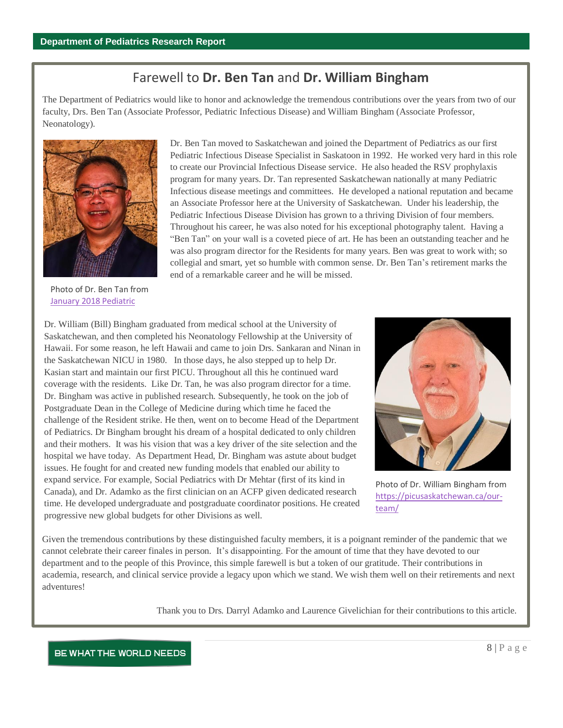# Farewell to **Dr. Ben Tan** and **Dr. William Bingham**

The Department of Pediatrics would like to honor and acknowledge the tremendous contributions over the years from two of our faculty, Drs. Ben Tan (Associate Professor, Pediatric Infectious Disease) and William Bingham (Associate Professor, Neonatology).



Dr. Ben Tan moved to Saskatchewan and joined the Department of Pediatrics as our first Pediatric Infectious Disease Specialist in Saskatoon in 1992. He worked very hard in this role to create our Provincial Infectious Disease service. He also headed the RSV prophylaxis program for many years. Dr. Tan represented Saskatchewan nationally at many Pediatric Infectious disease meetings and committees. He developed a national reputation and became an Associate Professor here at the University of Saskatchewan. Under his leadership, the Pediatric Infectious Disease Division has grown to a thriving Division of four members. Throughout his career, he was also noted for his exceptional photography talent. Having a "Ben Tan" on your wall is a coveted piece of art. He has been an outstanding teacher and he was also program director for the Residents for many years. Ben was great to work with; so collegial and smart, yet so humble with common sense. Dr. Ben Tan's retirement marks the end of a remarkable career and he will be missed.

Photo of Dr. Ben Tan from [January 2018 Pediatric](https://medicine.usask.ca/documents/pediatrics/newsletter/PedsNewsletterJan2018.pdf) 

Dr. William (Bill) Bingham graduated from medical school at the University of Saskatchewan, and then completed his Neonatology Fellowship at the University of Hawaii. For some reason, he left Hawaii and came to join Drs. Sankaran and Ninan in the Saskatchewan NICU in 1980. In those days, he also stepped up to help Dr. Kasian start and maintain our first PICU. Throughout all this he continued ward coverage with the residents. Like Dr. Tan, he was also program director for a time. Dr. Bingham was active in published research. Subsequently, he took on the job of Postgraduate Dean in the College of Medicine during which time he faced the challenge of the Resident strike. He then, went on to become Head of the Department of Pediatrics. Dr Bingham brought his dream of a hospital dedicated to only children and their mothers. It was his vision that was a key driver of the site selection and the hospital we have today. As Department Head, Dr. Bingham was astute about budget issues. He fought for and created new funding models that enabled our ability to expand service. For example, Social Pediatrics with Dr Mehtar (first of its kind in Canada), and Dr. Adamko as the first clinician on an ACFP given dedicated research time. He developed undergraduate and postgraduate coordinator positions. He created progressive new global budgets for other Divisions as well.



Photo of Dr. William Bingham from [https://picusaskatchewan.ca/our](https://picusaskatchewan.ca/our-team/)[team/](https://picusaskatchewan.ca/our-team/)

Given the tremendous contributions by these distinguished faculty members, it is a poignant reminder of the pandemic that we cannot celebrate their career finales in person. It's disappointing. For the amount of time that they have devoted to our department and to the people of this Province, this simple farewell is but a token of our gratitude. Their contributions in academia, research, and clinical service provide a legacy upon which we stand. We wish them well on their retirements and next adventures!

Thank you to Drs. Darryl Adamko and Laurence Givelichian for their contributions to this article.

#### BE WHAT THE WORLD NEEDS